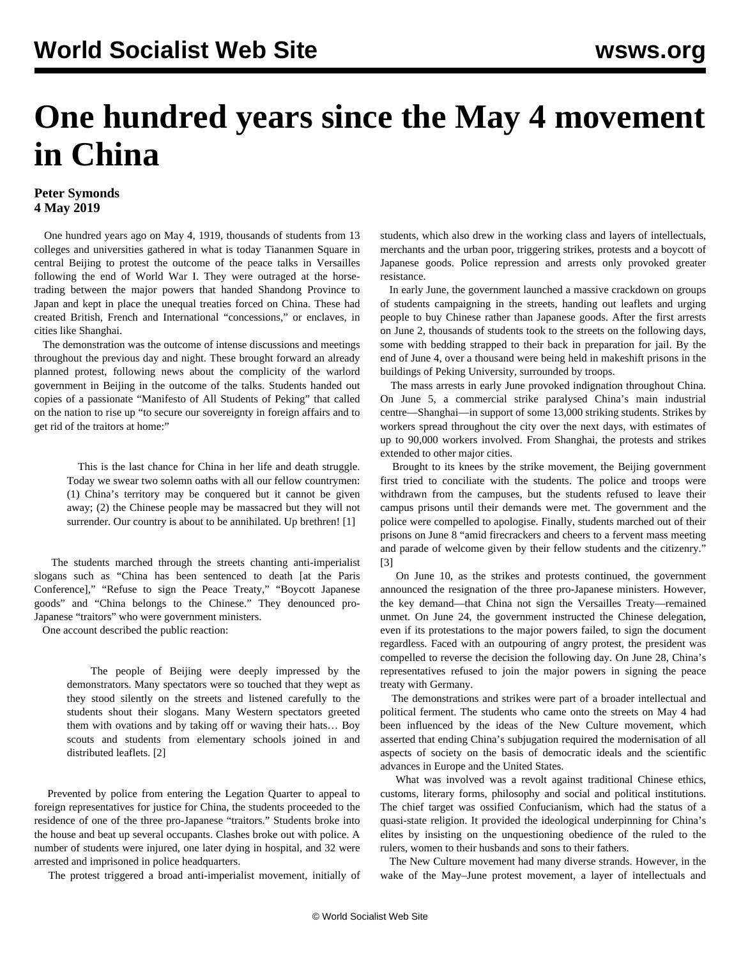# **One hundred years since the May 4 movement in China**

## **Peter Symonds 4 May 2019**

 One hundred years ago on May 4, 1919, thousands of students from 13 colleges and universities gathered in what is today Tiananmen Square in central Beijing to protest the outcome of the peace talks in Versailles following the end of World War I. They were outraged at the horsetrading between the major powers that handed Shandong Province to Japan and kept in place the unequal treaties forced on China. These had created British, French and International "concessions," or enclaves, in cities like Shanghai.

 The demonstration was the outcome of intense discussions and meetings throughout the previous day and night. These brought forward an already planned protest, following news about the complicity of the warlord government in Beijing in the outcome of the talks. Students handed out copies of a passionate "Manifesto of All Students of Peking" that called on the nation to rise up "to secure our sovereignty in foreign affairs and to get rid of the traitors at home:"

 This is the last chance for China in her life and death struggle. Today we swear two solemn oaths with all our fellow countrymen: (1) China's territory may be conquered but it cannot be given away; (2) the Chinese people may be massacred but they will not surrender. Our country is about to be annihilated. Up brethren! [1]

 The students marched through the streets chanting anti-imperialist slogans such as "China has been sentenced to death [at the Paris Conference]," "Refuse to sign the Peace Treaty," "Boycott Japanese goods" and "China belongs to the Chinese." They denounced pro-Japanese "traitors" who were government ministers.

One account described the public reaction:

 The people of Beijing were deeply impressed by the demonstrators. Many spectators were so touched that they wept as they stood silently on the streets and listened carefully to the students shout their slogans. Many Western spectators greeted them with ovations and by taking off or waving their hats… Boy scouts and students from elementary schools joined in and distributed leaflets. [2]

 Prevented by police from entering the Legation Quarter to appeal to foreign representatives for justice for China, the students proceeded to the residence of one of the three pro-Japanese "traitors." Students broke into the house and beat up several occupants. Clashes broke out with police. A number of students were injured, one later dying in hospital, and 32 were arrested and imprisoned in police headquarters.

The protest triggered a broad anti-imperialist movement, initially of

students, which also drew in the working class and layers of intellectuals, merchants and the urban poor, triggering strikes, protests and a boycott of Japanese goods. Police repression and arrests only provoked greater resistance.

 In early June, the government launched a massive crackdown on groups of students campaigning in the streets, handing out leaflets and urging people to buy Chinese rather than Japanese goods. After the first arrests on June 2, thousands of students took to the streets on the following days, some with bedding strapped to their back in preparation for jail. By the end of June 4, over a thousand were being held in makeshift prisons in the buildings of Peking University, surrounded by troops.

 The mass arrests in early June provoked indignation throughout China. On June 5, a commercial strike paralysed China's main industrial centre—Shanghai—in support of some 13,000 striking students. Strikes by workers spread throughout the city over the next days, with estimates of up to 90,000 workers involved. From Shanghai, the protests and strikes extended to other major cities.

 Brought to its knees by the strike movement, the Beijing government first tried to conciliate with the students. The police and troops were withdrawn from the campuses, but the students refused to leave their campus prisons until their demands were met. The government and the police were compelled to apologise. Finally, students marched out of their prisons on June 8 "amid firecrackers and cheers to a fervent mass meeting and parade of welcome given by their fellow students and the citizenry." [3]

 On June 10, as the strikes and protests continued, the government announced the resignation of the three pro-Japanese ministers. However, the key demand—that China not sign the Versailles Treaty—remained unmet. On June 24, the government instructed the Chinese delegation, even if its protestations to the major powers failed, to sign the document regardless. Faced with an outpouring of angry protest, the president was compelled to reverse the decision the following day. On June 28, China's representatives refused to join the major powers in signing the peace treaty with Germany.

 The demonstrations and strikes were part of a broader intellectual and political ferment. The students who came onto the streets on May 4 had been influenced by the ideas of the New Culture movement, which asserted that ending China's subjugation required the modernisation of all aspects of society on the basis of democratic ideals and the scientific advances in Europe and the United States.

 What was involved was a revolt against traditional Chinese ethics, customs, literary forms, philosophy and social and political institutions. The chief target was ossified Confucianism, which had the status of a quasi-state religion. It provided the ideological underpinning for China's elites by insisting on the unquestioning obedience of the ruled to the rulers, women to their husbands and sons to their fathers.

 The New Culture movement had many diverse strands. However, in the wake of the May–June protest movement, a layer of intellectuals and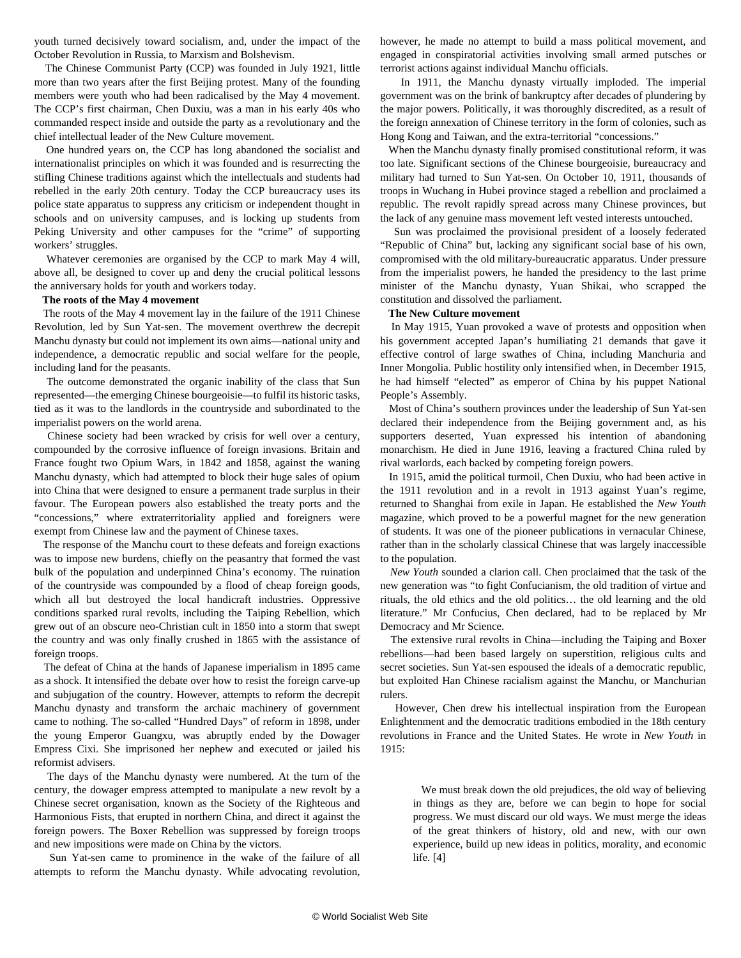youth turned decisively toward socialism, and, under the impact of the October Revolution in Russia, to Marxism and Bolshevism.

 The Chinese Communist Party (CCP) was founded in July 1921, little more than two years after the first Beijing protest. Many of the founding members were youth who had been radicalised by the May 4 movement. The CCP's first chairman, Chen Duxiu, was a man in his early 40s who commanded respect inside and outside the party as a revolutionary and the chief intellectual leader of the New Culture movement.

 One hundred years on, the CCP has long abandoned the socialist and internationalist principles on which it was founded and is resurrecting the stifling Chinese traditions against which the intellectuals and students had rebelled in the early 20th century. Today the CCP bureaucracy uses its police state apparatus to suppress any criticism or independent thought in schools and on university campuses, and is locking up students from Peking University and other campuses for the "crime" of supporting workers' struggles.

 Whatever ceremonies are organised by the CCP to mark May 4 will, above all, be designed to cover up and deny the crucial political lessons the anniversary holds for youth and workers today.

## **The roots of the May 4 movement**

 The roots of the May 4 movement lay in the failure of the 1911 Chinese Revolution, led by Sun Yat-sen. The movement overthrew the decrepit Manchu dynasty but could not implement its own aims—national unity and independence, a democratic republic and social welfare for the people, including land for the peasants.

 The outcome demonstrated the organic inability of the class that Sun represented—the emerging Chinese bourgeoisie—to fulfil its historic tasks, tied as it was to the landlords in the countryside and subordinated to the imperialist powers on the world arena.

 Chinese society had been wracked by crisis for well over a century, compounded by the corrosive influence of foreign invasions. Britain and France fought two Opium Wars, in 1842 and 1858, against the waning Manchu dynasty, which had attempted to block their huge sales of opium into China that were designed to ensure a permanent trade surplus in their favour. The European powers also established the treaty ports and the "concessions," where extraterritoriality applied and foreigners were exempt from Chinese law and the payment of Chinese taxes.

 The response of the Manchu court to these defeats and foreign exactions was to impose new burdens, chiefly on the peasantry that formed the vast bulk of the population and underpinned China's economy. The ruination of the countryside was compounded by a flood of cheap foreign goods, which all but destroyed the local handicraft industries. Oppressive conditions sparked rural revolts, including the Taiping Rebellion, which grew out of an obscure neo-Christian cult in 1850 into a storm that swept the country and was only finally crushed in 1865 with the assistance of foreign troops.

 The defeat of China at the hands of Japanese imperialism in 1895 came as a shock. It intensified the debate over how to resist the foreign carve-up and subjugation of the country. However, attempts to reform the decrepit Manchu dynasty and transform the archaic machinery of government came to nothing. The so-called "Hundred Days" of reform in 1898, under the young Emperor Guangxu, was abruptly ended by the Dowager Empress Cixi. She imprisoned her nephew and executed or jailed his reformist advisers.

 The days of the Manchu dynasty were numbered. At the turn of the century, the dowager empress attempted to manipulate a new revolt by a Chinese secret organisation, known as the Society of the Righteous and Harmonious Fists, that erupted in northern China, and direct it against the foreign powers. The Boxer Rebellion was suppressed by foreign troops and new impositions were made on China by the victors.

 Sun Yat-sen came to prominence in the wake of the failure of all attempts to reform the Manchu dynasty. While advocating revolution, however, he made no attempt to build a mass political movement, and engaged in conspiratorial activities involving small armed putsches or terrorist actions against individual Manchu officials.

 In 1911, the Manchu dynasty virtually imploded. The imperial government was on the brink of bankruptcy after decades of plundering by the major powers. Politically, it was thoroughly discredited, as a result of the foreign annexation of Chinese territory in the form of colonies, such as Hong Kong and Taiwan, and the extra-territorial "concessions."

 When the Manchu dynasty finally promised constitutional reform, it was too late. Significant sections of the Chinese bourgeoisie, bureaucracy and military had turned to Sun Yat-sen. On October 10, 1911, thousands of troops in Wuchang in Hubei province staged a rebellion and proclaimed a republic. The revolt rapidly spread across many Chinese provinces, but the lack of any genuine mass movement left vested interests untouched.

 Sun was proclaimed the provisional president of a loosely federated "Republic of China" but, lacking any significant social base of his own, compromised with the old military-bureaucratic apparatus. Under pressure from the imperialist powers, he handed the presidency to the last prime minister of the Manchu dynasty, Yuan Shikai, who scrapped the constitution and dissolved the parliament.

## **The New Culture movement**

 In May 1915, Yuan provoked a wave of protests and opposition when his government accepted Japan's humiliating 21 demands that gave it effective control of large swathes of China, including Manchuria and Inner Mongolia. Public hostility only intensified when, in December 1915, he had himself "elected" as emperor of China by his puppet National People's Assembly.

 Most of China's southern provinces under the leadership of Sun Yat-sen declared their independence from the Beijing government and, as his supporters deserted, Yuan expressed his intention of abandoning monarchism. He died in June 1916, leaving a fractured China ruled by rival warlords, each backed by competing foreign powers.

 In 1915, amid the political turmoil, Chen Duxiu, who had been active in the 1911 revolution and in a revolt in 1913 against Yuan's regime, returned to Shanghai from exile in Japan. He established the *New Youth* magazine, which proved to be a powerful magnet for the new generation of students. It was one of the pioneer publications in vernacular Chinese, rather than in the scholarly classical Chinese that was largely inaccessible to the population.

 *New Youth* sounded a clarion call. Chen proclaimed that the task of the new generation was "to fight Confucianism, the old tradition of virtue and rituals, the old ethics and the old politics… the old learning and the old literature." Mr Confucius, Chen declared, had to be replaced by Mr Democracy and Mr Science.

 The extensive rural revolts in China—including the Taiping and Boxer rebellions—had been based largely on superstition, religious cults and secret societies. Sun Yat-sen espoused the ideals of a democratic republic, but exploited Han Chinese racialism against the Manchu, or Manchurian rulers.

 However, Chen drew his intellectual inspiration from the European Enlightenment and the democratic traditions embodied in the 18th century revolutions in France and the United States. He wrote in *New Youth* in 1915:

 We must break down the old prejudices, the old way of believing in things as they are, before we can begin to hope for social progress. We must discard our old ways. We must merge the ideas of the great thinkers of history, old and new, with our own experience, build up new ideas in politics, morality, and economic life. [4]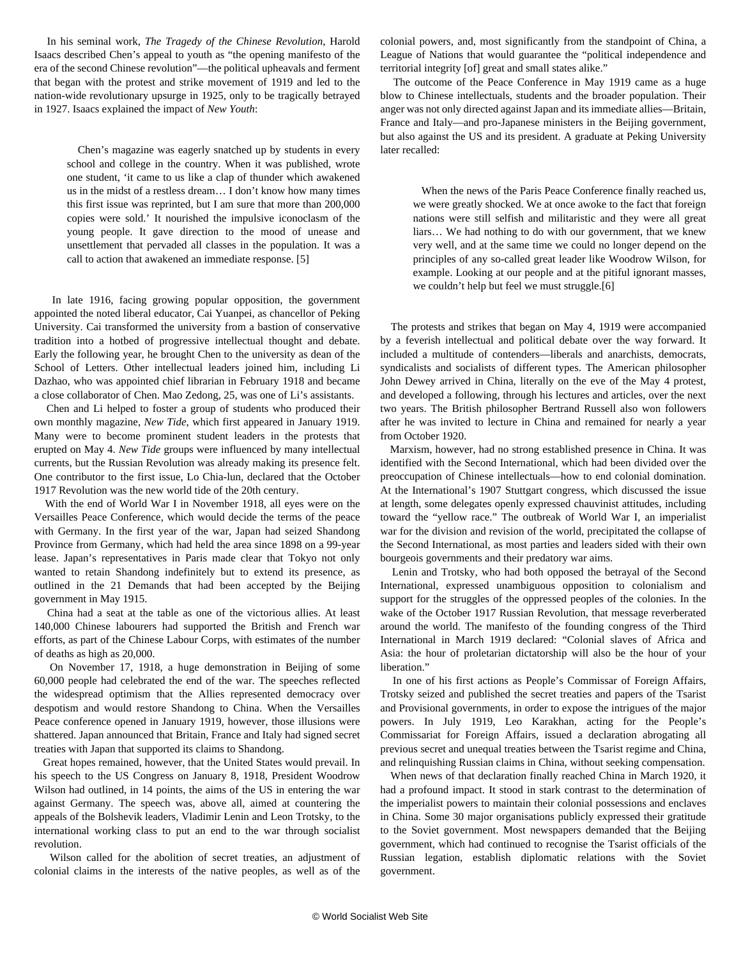In his seminal work, *The Tragedy of the Chinese Revolution*, Harold Isaacs described Chen's appeal to youth as "the opening manifesto of the era of the second Chinese revolution"—the political upheavals and ferment that began with the protest and strike movement of 1919 and led to the nation-wide revolutionary upsurge in 1925, only to be tragically betrayed in 1927. Isaacs explained the impact of *New Youth*:

 Chen's magazine was eagerly snatched up by students in every school and college in the country. When it was published, wrote one student, 'it came to us like a clap of thunder which awakened us in the midst of a restless dream… I don't know how many times this first issue was reprinted, but I am sure that more than 200,000 copies were sold.' It nourished the impulsive iconoclasm of the young people. It gave direction to the mood of unease and unsettlement that pervaded all classes in the population. It was a call to action that awakened an immediate response. [5]

 In late 1916, facing growing popular opposition, the government appointed the noted liberal educator, Cai Yuanpei, as chancellor of Peking University. Cai transformed the university from a bastion of conservative tradition into a hotbed of progressive intellectual thought and debate. Early the following year, he brought Chen to the university as dean of the School of Letters. Other intellectual leaders joined him, including Li Dazhao, who was appointed chief librarian in February 1918 and became a close collaborator of Chen. Mao Zedong, 25, was one of Li's assistants.

 Chen and Li helped to foster a group of students who produced their own monthly magazine, *New Tide*, which first appeared in January 1919. Many were to become prominent student leaders in the protests that erupted on May 4. *New Tide* groups were influenced by many intellectual currents, but the Russian Revolution was already making its presence felt. One contributor to the first issue, Lo Chia-lun, declared that the October 1917 Revolution was the new world tide of the 20th century.

 With the end of World War I in November 1918, all eyes were on the Versailles Peace Conference, which would decide the terms of the peace with Germany. In the first year of the war, Japan had seized Shandong Province from Germany, which had held the area since 1898 on a 99-year lease. Japan's representatives in Paris made clear that Tokyo not only wanted to retain Shandong indefinitely but to extend its presence, as outlined in the 21 Demands that had been accepted by the Beijing government in May 1915.

 China had a seat at the table as one of the victorious allies. At least 140,000 Chinese labourers had supported the British and French war efforts, as part of the Chinese Labour Corps, with estimates of the number of deaths as high as 20,000.

 On November 17, 1918, a huge demonstration in Beijing of some 60,000 people had celebrated the end of the war. The speeches reflected the widespread optimism that the Allies represented democracy over despotism and would restore Shandong to China. When the Versailles Peace conference opened in January 1919, however, those illusions were shattered. Japan announced that Britain, France and Italy had signed secret treaties with Japan that supported its claims to Shandong.

 Great hopes remained, however, that the United States would prevail. In his speech to the US Congress on January 8, 1918, President Woodrow Wilson had outlined, in 14 points, the aims of the US in entering the war against Germany. The speech was, above all, aimed at countering the appeals of the Bolshevik leaders, Vladimir Lenin and Leon Trotsky, to the international working class to put an end to the war through socialist revolution.

 Wilson called for the abolition of secret treaties, an adjustment of colonial claims in the interests of the native peoples, as well as of the

colonial powers, and, most significantly from the standpoint of China, a League of Nations that would guarantee the "political independence and territorial integrity [of] great and small states alike."

 The outcome of the Peace Conference in May 1919 came as a huge blow to Chinese intellectuals, students and the broader population. Their anger was not only directed against Japan and its immediate allies—Britain, France and Italy—and pro-Japanese ministers in the Beijing government, but also against the US and its president. A graduate at Peking University later recalled:

 When the news of the Paris Peace Conference finally reached us, we were greatly shocked. We at once awoke to the fact that foreign nations were still selfish and militaristic and they were all great liars… We had nothing to do with our government, that we knew very well, and at the same time we could no longer depend on the principles of any so-called great leader like Woodrow Wilson, for example. Looking at our people and at the pitiful ignorant masses, we couldn't help but feel we must struggle.[6]

 The protests and strikes that began on May 4, 1919 were accompanied by a feverish intellectual and political debate over the way forward. It included a multitude of contenders—liberals and anarchists, democrats, syndicalists and socialists of different types. The American philosopher John Dewey arrived in China, literally on the eve of the May 4 protest, and developed a following, through his lectures and articles, over the next two years. The British philosopher Bertrand Russell also won followers after he was invited to lecture in China and remained for nearly a year from October 1920.

 Marxism, however, had no strong established presence in China. It was identified with the Second International, which had been divided over the preoccupation of Chinese intellectuals—how to end colonial domination. At the International's 1907 Stuttgart congress, which discussed the issue at length, some delegates openly expressed chauvinist attitudes, including toward the "yellow race." The outbreak of World War I, an imperialist war for the division and revision of the world, precipitated the collapse of the Second International, as most parties and leaders sided with their own bourgeois governments and their predatory war aims.

 Lenin and Trotsky, who had both opposed the betrayal of the Second International, expressed unambiguous opposition to colonialism and support for the struggles of the oppressed peoples of the colonies. In the wake of the October 1917 Russian Revolution, that message reverberated around the world. The manifesto of the founding congress of the Third International in March 1919 declared: "Colonial slaves of Africa and Asia: the hour of proletarian dictatorship will also be the hour of your liberation."

 In one of his first actions as People's Commissar of Foreign Affairs, Trotsky seized and published the secret treaties and papers of the Tsarist and Provisional governments, in order to expose the intrigues of the major powers. In July 1919, Leo Karakhan, acting for the People's Commissariat for Foreign Affairs, issued a declaration abrogating all previous secret and unequal treaties between the Tsarist regime and China, and relinquishing Russian claims in China, without seeking compensation.

 When news of that declaration finally reached China in March 1920, it had a profound impact. It stood in stark contrast to the determination of the imperialist powers to maintain their colonial possessions and enclaves in China. Some 30 major organisations publicly expressed their gratitude to the Soviet government. Most newspapers demanded that the Beijing government, which had continued to recognise the Tsarist officials of the Russian legation, establish diplomatic relations with the Soviet government.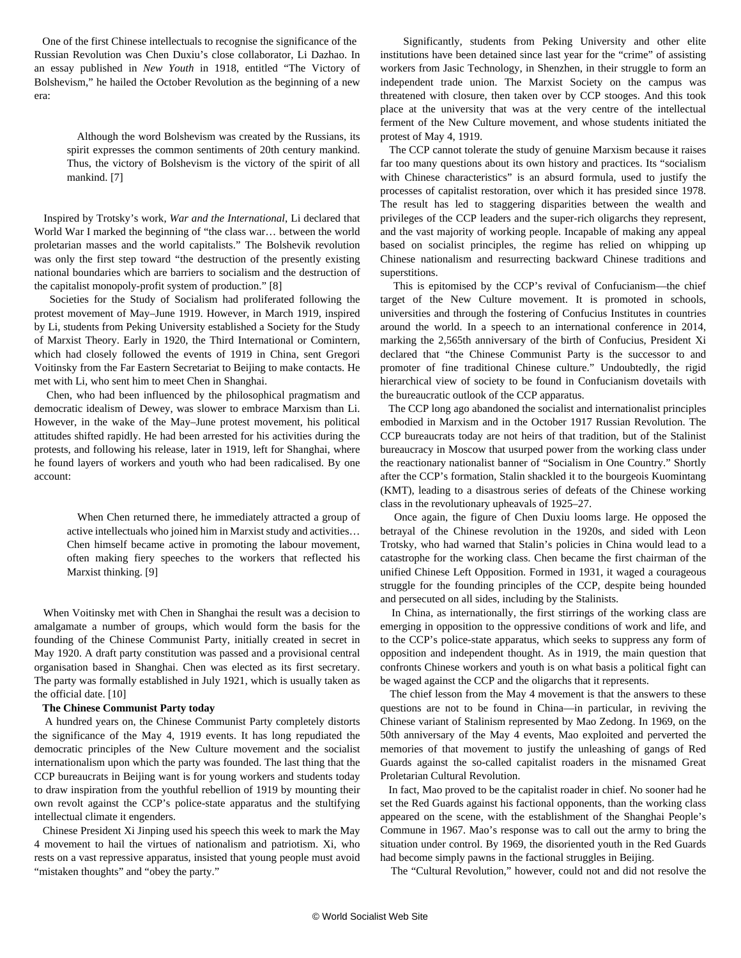One of the first Chinese intellectuals to recognise the significance of the Russian Revolution was Chen Duxiu's close collaborator, Li Dazhao. In an essay published in *New Youth* in 1918, entitled "The Victory of Bolshevism," he hailed the October Revolution as the beginning of a new era:

 Although the word Bolshevism was created by the Russians, its spirit expresses the common sentiments of 20th century mankind. Thus, the victory of Bolshevism is the victory of the spirit of all mankind. [7]

 Inspired by Trotsky's work, *War and the International*, Li declared that World War I marked the beginning of "the class war… between the world proletarian masses and the world capitalists." The Bolshevik revolution was only the first step toward "the destruction of the presently existing national boundaries which are barriers to socialism and the destruction of the capitalist monopoly-profit system of production." [8]

 Societies for the Study of Socialism had proliferated following the protest movement of May–June 1919. However, in March 1919, inspired by Li, students from Peking University established a Society for the Study of Marxist Theory. Early in 1920, the Third International or Comintern, which had closely followed the events of 1919 in China, sent Gregori Voitinsky from the Far Eastern Secretariat to Beijing to make contacts. He met with Li, who sent him to meet Chen in Shanghai.

 Chen, who had been influenced by the philosophical pragmatism and democratic idealism of Dewey, was slower to embrace Marxism than Li. However, in the wake of the May–June protest movement, his political attitudes shifted rapidly. He had been arrested for his activities during the protests, and following his release, later in 1919, left for Shanghai, where he found layers of workers and youth who had been radicalised. By one account:

 When Chen returned there, he immediately attracted a group of active intellectuals who joined him in Marxist study and activities… Chen himself became active in promoting the labour movement, often making fiery speeches to the workers that reflected his Marxist thinking. [9]

 When Voitinsky met with Chen in Shanghai the result was a decision to amalgamate a number of groups, which would form the basis for the founding of the Chinese Communist Party, initially created in secret in May 1920. A draft party constitution was passed and a provisional central organisation based in Shanghai. Chen was elected as its first secretary. The party was formally established in July 1921, which is usually taken as the official date. [10]

#### **The Chinese Communist Party today**

 A hundred years on, the Chinese Communist Party completely distorts the significance of the May 4, 1919 events. It has long repudiated the democratic principles of the New Culture movement and the socialist internationalism upon which the party was founded. The last thing that the CCP bureaucrats in Beijing want is for young workers and students today to draw inspiration from the youthful rebellion of 1919 by mounting their own revolt against the CCP's police-state apparatus and the stultifying intellectual climate it engenders.

 Chinese President Xi Jinping used his speech this week to mark the May 4 movement to hail the virtues of nationalism and patriotism. Xi, who rests on a vast repressive apparatus, insisted that young people must avoid "mistaken thoughts" and "obey the party."

 Significantly, students from Peking University and other elite institutions have been detained since last year for the "crime" of assisting workers from Jasic Technology, in Shenzhen, in their struggle to form an independent trade union. The Marxist Society on the campus was threatened with closure, then taken over by CCP stooges. And this took place at the university that was at the very centre of the intellectual ferment of the New Culture movement, and whose students initiated the protest of May 4, 1919.

 The CCP cannot tolerate the study of genuine Marxism because it raises far too many questions about its own history and practices. Its "socialism with Chinese characteristics" is an absurd formula, used to justify the processes of capitalist restoration, over which it has presided since 1978. The result has led to staggering disparities between the wealth and privileges of the CCP leaders and the super-rich oligarchs they represent, and the vast majority of working people. Incapable of making any appeal based on socialist principles, the regime has relied on whipping up Chinese nationalism and resurrecting backward Chinese traditions and superstitions.

 This is epitomised by the CCP's revival of Confucianism—the chief target of the New Culture movement. It is promoted in schools, universities and through the fostering of Confucius Institutes in countries around the world. In a speech to an international conference in 2014, marking the 2,565th anniversary of the birth of Confucius, President Xi declared that "the Chinese Communist Party is the successor to and promoter of fine traditional Chinese culture." Undoubtedly, the rigid hierarchical view of society to be found in Confucianism dovetails with the bureaucratic outlook of the CCP apparatus.

 The CCP long ago abandoned the socialist and internationalist principles embodied in Marxism and in the October 1917 Russian Revolution. The CCP bureaucrats today are not heirs of that tradition, but of the Stalinist bureaucracy in Moscow that usurped power from the working class under the reactionary nationalist banner of "Socialism in One Country." Shortly after the CCP's formation, Stalin shackled it to the bourgeois Kuomintang (KMT), leading to a disastrous series of defeats of the Chinese working class in the revolutionary upheavals of 1925–27.

 Once again, the figure of Chen Duxiu looms large. He opposed the betrayal of the Chinese revolution in the 1920s, and sided with Leon Trotsky, who had warned that Stalin's policies in China would lead to a catastrophe for the working class. Chen became the first chairman of the unified Chinese Left Opposition. Formed in 1931, it waged a courageous struggle for the founding principles of the CCP, despite being hounded and persecuted on all sides, including by the Stalinists.

 In China, as internationally, the first stirrings of the working class are emerging in opposition to the oppressive conditions of work and life, and to the CCP's police-state apparatus, which seeks to suppress any form of opposition and independent thought. As in 1919, the main question that confronts Chinese workers and youth is on what basis a political fight can be waged against the CCP and the oligarchs that it represents.

 The chief lesson from the May 4 movement is that the answers to these questions are not to be found in China—in particular, in reviving the Chinese variant of Stalinism represented by Mao Zedong. In 1969, on the 50th anniversary of the May 4 events, Mao exploited and perverted the memories of that movement to justify the unleashing of gangs of Red Guards against the so-called capitalist roaders in the misnamed Great Proletarian Cultural Revolution.

 In fact, Mao proved to be the capitalist roader in chief. No sooner had he set the Red Guards against his factional opponents, than the working class appeared on the scene, with the establishment of the Shanghai People's Commune in 1967. Mao's response was to call out the army to bring the situation under control. By 1969, the disoriented youth in the Red Guards had become simply pawns in the factional struggles in Beijing.

The "Cultural Revolution," however, could not and did not resolve the